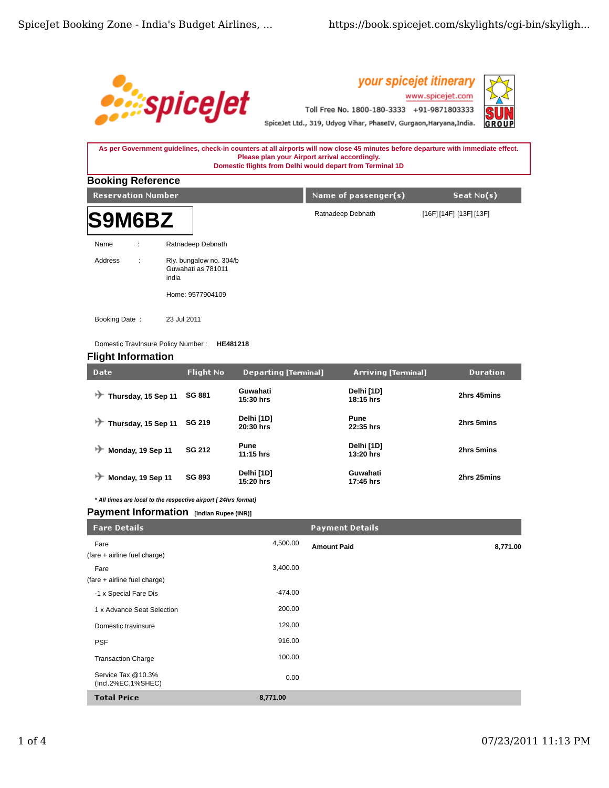

your spicejet itinerary www.spicejet.com Toll Free No. 1800-180-3333 +91-9871803333



SpiceJet Ltd., 319, Udyog Vihar, PhaseIV, Gurgaon, Haryana, India.

## **As per Government guidelines, check-in counters at all airports will now close 45 minutes before departure with immediate effect. Please plan your Airport arrival accordingly. Domestic flights from Delhi would depart from Terminal 1D**

| <b>Booking Reference</b>  |   |                                                                            |                      |                      |  |  |  |  |
|---------------------------|---|----------------------------------------------------------------------------|----------------------|----------------------|--|--|--|--|
| <b>Reservation Number</b> |   |                                                                            | Name of passenger(s) | Seat $No(s)$         |  |  |  |  |
| <b>S9M6BZ</b>             |   |                                                                            | Ratnadeep Debnath    | [16F][14F][13F][13F] |  |  |  |  |
| Name                      | ÷ | Ratnadeep Debnath                                                          |                      |                      |  |  |  |  |
| Address                   | ÷ | Rly. bungalow no. 304/b<br>Guwahati as 781011<br>india<br>Home: 9577904109 |                      |                      |  |  |  |  |
| Booking Date:             |   | 23 Jul 2011                                                                |                      |                      |  |  |  |  |

Domestic TravInsure Policy Number : **HE481218**

# **Flight Information**

| Date                     | Flight No     | <b>Departing [Terminal]</b> | <b>Arriving [Terminal]</b> | <b>Duration</b> |
|--------------------------|---------------|-----------------------------|----------------------------|-----------------|
| ↣<br>Thursday, 15 Sep 11 | <b>SG 881</b> | Guwahati<br>15:30 hrs       | Delhi [1D]<br>$18:15$ hrs  | 2hrs 45mins     |
| Thursday, 15 Sep 11      | <b>SG 219</b> | Delhi [1D]<br>20:30 hrs     | Pune<br>22:35 hrs          | 2hrs 5mins      |
| Monday, 19 Sep 11        | <b>SG 212</b> | Pune<br>$11:15$ hrs         | Delhi [1D]<br>13:20 hrs    | 2hrs 5mins      |
| Monday, 19 Sep 11        | <b>SG 893</b> | Delhi [1D]<br>15:20 hrs     | Guwahati<br>17:45 hrs      | 2hrs 25mins     |

*\* All times are local to the respective airport [ 24hrs format]*

# **Payment Information** [Indian Rupee (INR)]

| <b>Fare Details</b>                      |           | <b>Payment Details</b> |          |
|------------------------------------------|-----------|------------------------|----------|
| Fare                                     | 4,500.00  | <b>Amount Paid</b>     | 8,771.00 |
| (fare + airline fuel charge)             |           |                        |          |
| Fare                                     | 3,400.00  |                        |          |
| (fare + airline fuel charge)             |           |                        |          |
| -1 x Special Fare Dis                    | $-474.00$ |                        |          |
| 1 x Advance Seat Selection               | 200.00    |                        |          |
| Domestic travinsure                      | 129.00    |                        |          |
| <b>PSF</b>                               | 916.00    |                        |          |
| <b>Transaction Charge</b>                | 100.00    |                        |          |
| Service Tax @10.3%<br>(Incl.2%EC,1%SHEC) | 0.00      |                        |          |
| <b>Total Price</b>                       | 8,771.00  |                        |          |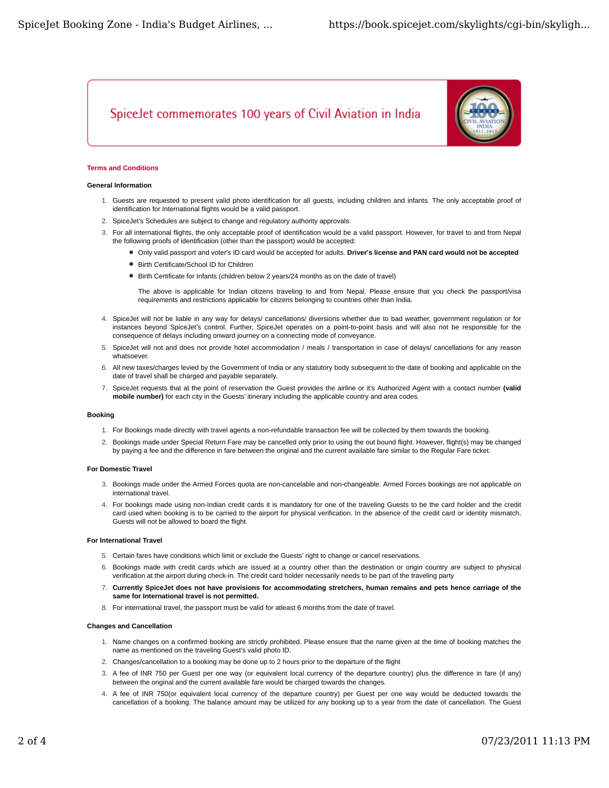# SpiceJet commemorates 100 years of Civil Aviation in India



## **Terms and Conditions**

#### **General Information**

- 1. Guests are requested to present valid photo identification for all guests, including children and infants. The only acceptable proof of identification for International flights would be a valid passport.
- 2. SpiceJet's Schedules are subject to change and regulatory authority approvals.
- For all international flights, the only acceptable proof of identification would be a valid passport. However, for travel to and from Nepal 3. the following proofs of identification (other than the passport) would be accepted:
	- Only valid passport and voter's ID card would be accepted for adults. **Driver's license and PAN card would not be accepted**
	- Birth Certificate/School ID for Children
	- Birth Certificate for Infants (children below 2 years/24 months as on the date of travel)

The above is applicable for Indian citizens traveling to and from Nepal. Please ensure that you check the passport/visa requirements and restrictions applicable for citizens belonging to countries other than India.

- 4. SpiceJet will not be liable in any way for delays/ cancellations/ diversions whether due to bad weather, government regulation or for instances beyond SpiceJet's control. Further, SpiceJet operates on a point-to-point basis and will also not be responsible for the consequence of delays including onward journey on a connecting mode of conveyance.
- 5. SpiceJet will not and does not provide hotel accommodation / meals / transportation in case of delays/ cancellations for any reason whatsoever.
- 6. All new taxes/charges levied by the Government of India or any statutory body subsequent to the date of booking and applicable on the date of travel shall be charged and payable separately.
- 7. SpiceJet requests that at the point of reservation the Guest provides the airline or it's Authorized Agent with a contact number (valid **mobile number)** for each city in the Guests' itinerary including the applicable country and area codes.

#### **Booking**

- 1. For Bookings made directly with travel agents a non-refundable transaction fee will be collected by them towards the booking.
- 2. Bookings made under Special Return Fare may be cancelled only prior to using the out bound flight. However, flight(s) may be changed by paying a fee and the difference in fare between the original and the current available fare similar to the Regular Fare ticket.

#### **For Domestic Travel**

- 3. Bookings made under the Armed Forces quota are non-cancelable and non-changeable. Armed Forces bookings are not applicable on international travel.
- For bookings made using non-Indian credit cards it is mandatory for one of the traveling Guests to be the card holder and the credit 4. card used when booking is to be carried to the airport for physical verification. In the absence of the credit card or identity mismatch, Guests will not be allowed to board the flight.

#### **For International Travel**

- 5. Certain fares have conditions which limit or exclude the Guests' right to change or cancel reservations.
- 6. Bookings made with credit cards which are issued at a country other than the destination or origin country are subject to physical verification at the airport during check-in. The credit card holder necessarily needs to be part of the traveling party
- **Currently SpiceJet does not have provisions for accommodating stretchers, human remains and pets hence carriage of the** 7. **same for International travel is not permitted.**
- 8. For international travel, the passport must be valid for atleast 6 months from the date of travel.

#### **Changes and Cancellation**

- 1. Name changes on a confirmed booking are strictly prohibited. Please ensure that the name given at the time of booking matches the name as mentioned on the traveling Guest's valid photo ID.
- 2. Changes/cancellation to a booking may be done up to 2 hours prior to the departure of the flight
- 3. A fee of INR 750 per Guest per one way (or equivalent local currency of the departure country) plus the difference in fare (if any) between the original and the current available fare would be charged towards the changes.
- A fee of INR 750(or equivalent local currency of the departure country) per Guest per one way would be deducted towards the 4. cancellation of a booking. The balance amount may be utilized for any booking up to a year from the date of cancellation. The Guest